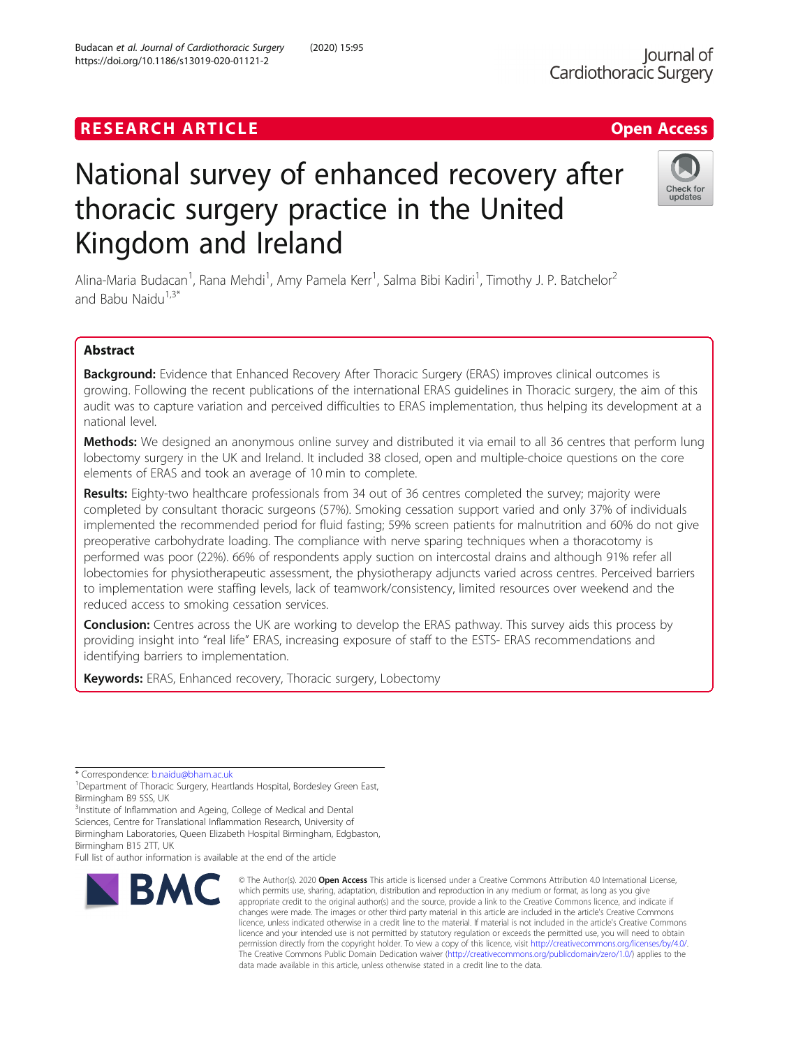# **RESEARCH ARTICLE Example 2018 12:30 The Contract of Contract ACCESS**

# National survey of enhanced recovery after thoracic surgery practice in the United Kingdom and Ireland

Alina-Maria Budacan<sup>1</sup>, Rana Mehdi<sup>1</sup>, Amy Pamela Kerr<sup>1</sup>, Salma Bibi Kadiri<sup>1</sup>, Timothy J. P. Batchelor<sup>2</sup> and Babu Naidu $1,3^*$ 

# Abstract

Background: Evidence that Enhanced Recovery After Thoracic Surgery (ERAS) improves clinical outcomes is growing. Following the recent publications of the international ERAS guidelines in Thoracic surgery, the aim of this audit was to capture variation and perceived difficulties to ERAS implementation, thus helping its development at a national level.

Methods: We designed an anonymous online survey and distributed it via email to all 36 centres that perform lung lobectomy surgery in the UK and Ireland. It included 38 closed, open and multiple-choice questions on the core elements of ERAS and took an average of 10 min to complete.

Results: Eighty-two healthcare professionals from 34 out of 36 centres completed the survey; majority were completed by consultant thoracic surgeons (57%). Smoking cessation support varied and only 37% of individuals implemented the recommended period for fluid fasting; 59% screen patients for malnutrition and 60% do not give preoperative carbohydrate loading. The compliance with nerve sparing techniques when a thoracotomy is performed was poor (22%). 66% of respondents apply suction on intercostal drains and although 91% refer all lobectomies for physiotherapeutic assessment, the physiotherapy adjuncts varied across centres. Perceived barriers to implementation were staffing levels, lack of teamwork/consistency, limited resources over weekend and the reduced access to smoking cessation services.

**Conclusion:** Centres across the UK are working to develop the ERAS pathway. This survey aids this process by providing insight into "real life" ERAS, increasing exposure of staff to the ESTS- ERAS recommendations and identifying barriers to implementation.

Keywords: ERAS, Enhanced recovery, Thoracic surgery, Lobectomy

\* Correspondence: [b.naidu@bham.ac.uk](mailto:b.naidu@bham.ac.uk) <sup>1</sup>

<sup>3</sup>Institute of Inflammation and Ageing, College of Medical and Dental Sciences, Centre for Translational Inflammation Research, University of Birmingham Laboratories, Queen Elizabeth Hospital Birmingham, Edgbaston, Birmingham B15 2TT, UK

Full list of author information is available at the end of the article

**BMC** 

Budacan et al. Journal of Cardiothoracic Surgery (2020) 15:95 https://doi.org/10.1186/s13019-020-01121-2





<sup>&</sup>lt;sup>1</sup>Department of Thoracic Surgery, Heartlands Hospital, Bordesley Green East, Birmingham B9 5SS, UK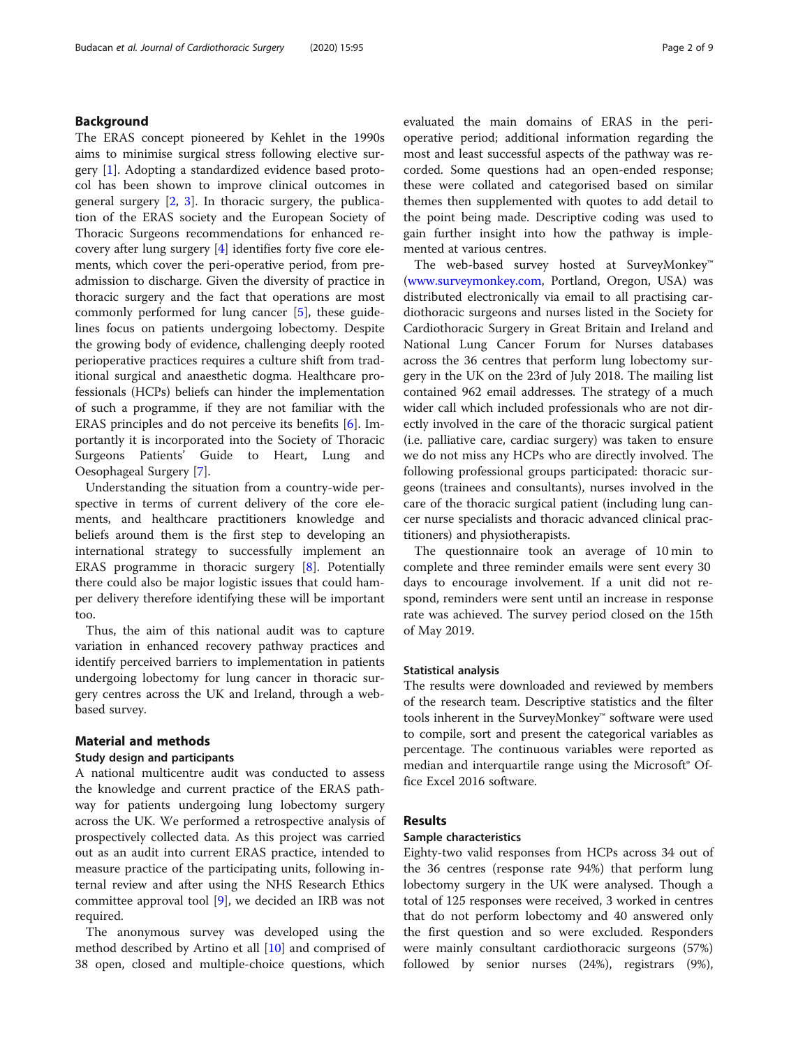# Background

The ERAS concept pioneered by Kehlet in the 1990s aims to minimise surgical stress following elective surgery [[1](#page-7-0)]. Adopting a standardized evidence based protocol has been shown to improve clinical outcomes in general surgery [[2,](#page-7-0) [3](#page-7-0)]. In thoracic surgery, the publication of the ERAS society and the European Society of Thoracic Surgeons recommendations for enhanced recovery after lung surgery [[4\]](#page-7-0) identifies forty five core elements, which cover the peri-operative period, from preadmission to discharge. Given the diversity of practice in thoracic surgery and the fact that operations are most commonly performed for lung cancer [[5](#page-7-0)], these guidelines focus on patients undergoing lobectomy. Despite the growing body of evidence, challenging deeply rooted perioperative practices requires a culture shift from traditional surgical and anaesthetic dogma. Healthcare professionals (HCPs) beliefs can hinder the implementation of such a programme, if they are not familiar with the ERAS principles and do not perceive its benefits [\[6](#page-7-0)]. Importantly it is incorporated into the Society of Thoracic Surgeons Patients' Guide to Heart, Lung and Oesophageal Surgery [[7\]](#page-7-0).

Understanding the situation from a country-wide perspective in terms of current delivery of the core elements, and healthcare practitioners knowledge and beliefs around them is the first step to developing an international strategy to successfully implement an ERAS programme in thoracic surgery [\[8](#page-7-0)]. Potentially there could also be major logistic issues that could hamper delivery therefore identifying these will be important too.

Thus, the aim of this national audit was to capture variation in enhanced recovery pathway practices and identify perceived barriers to implementation in patients undergoing lobectomy for lung cancer in thoracic surgery centres across the UK and Ireland, through a webbased survey.

# Material and methods

# Study design and participants

A national multicentre audit was conducted to assess the knowledge and current practice of the ERAS pathway for patients undergoing lung lobectomy surgery across the UK. We performed a retrospective analysis of prospectively collected data. As this project was carried out as an audit into current ERAS practice, intended to measure practice of the participating units, following internal review and after using the NHS Research Ethics committee approval tool [\[9](#page-7-0)], we decided an IRB was not required.

The anonymous survey was developed using the method described by Artino et all [[10](#page-7-0)] and comprised of 38 open, closed and multiple-choice questions, which evaluated the main domains of ERAS in the perioperative period; additional information regarding the most and least successful aspects of the pathway was recorded. Some questions had an open-ended response; these were collated and categorised based on similar themes then supplemented with quotes to add detail to the point being made. Descriptive coding was used to gain further insight into how the pathway is implemented at various centres.

The web-based survey hosted at SurveyMonkey™ ([www.surveymonkey.com,](http://www.surveymonkey.com) Portland, Oregon, USA) was distributed electronically via email to all practising cardiothoracic surgeons and nurses listed in the Society for Cardiothoracic Surgery in Great Britain and Ireland and National Lung Cancer Forum for Nurses databases across the 36 centres that perform lung lobectomy surgery in the UK on the 23rd of July 2018. The mailing list contained 962 email addresses. The strategy of a much wider call which included professionals who are not directly involved in the care of the thoracic surgical patient (i.e. palliative care, cardiac surgery) was taken to ensure we do not miss any HCPs who are directly involved. The following professional groups participated: thoracic surgeons (trainees and consultants), nurses involved in the care of the thoracic surgical patient (including lung cancer nurse specialists and thoracic advanced clinical practitioners) and physiotherapists.

The questionnaire took an average of 10 min to complete and three reminder emails were sent every 30 days to encourage involvement. If a unit did not respond, reminders were sent until an increase in response rate was achieved. The survey period closed on the 15th of May 2019.

#### Statistical analysis

The results were downloaded and reviewed by members of the research team. Descriptive statistics and the filter tools inherent in the SurveyMonkey™ software were used to compile, sort and present the categorical variables as percentage. The continuous variables were reported as median and interquartile range using the Microsoft® Office Excel 2016 software.

## Results

# Sample characteristics

Eighty-two valid responses from HCPs across 34 out of the 36 centres (response rate 94%) that perform lung lobectomy surgery in the UK were analysed. Though a total of 125 responses were received, 3 worked in centres that do not perform lobectomy and 40 answered only the first question and so were excluded. Responders were mainly consultant cardiothoracic surgeons (57%) followed by senior nurses (24%), registrars (9%),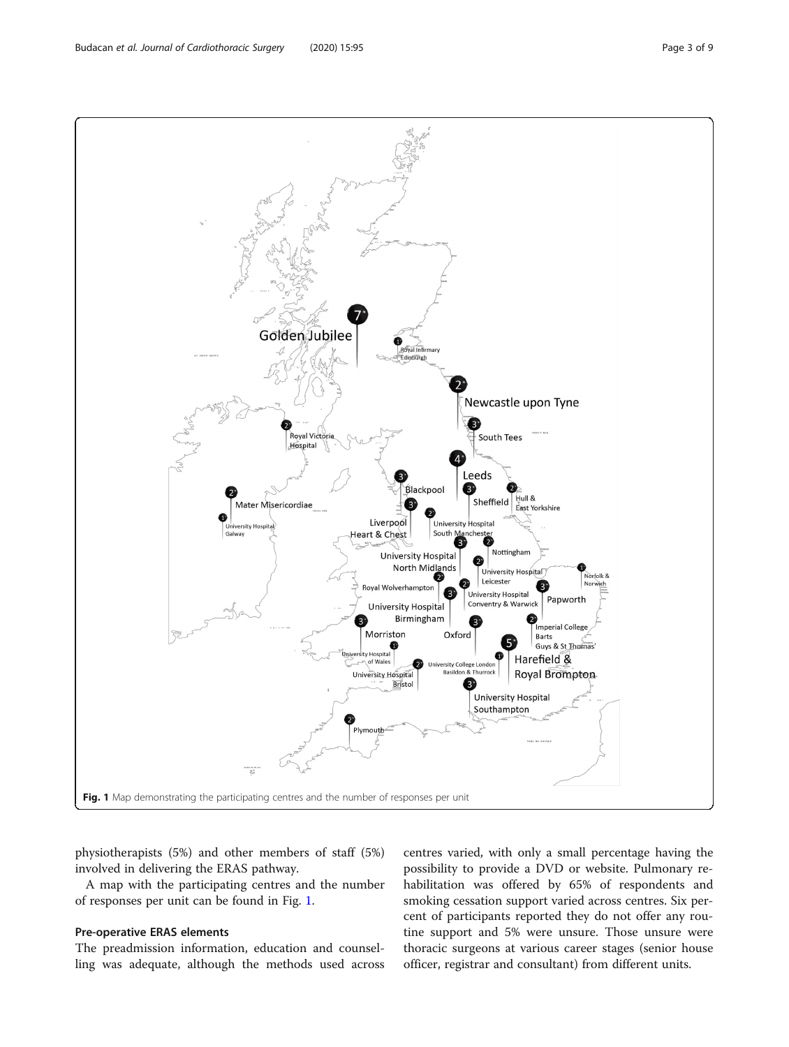physiotherapists (5%) and other members of staff (5%) involved in delivering the ERAS pathway.

A map with the participating centres and the number of responses per unit can be found in Fig. 1.

# Pre-operative ERAS elements

The preadmission information, education and counselling was adequate, although the methods used across centres varied, with only a small percentage having the possibility to provide a DVD or website. Pulmonary rehabilitation was offered by 65% of respondents and smoking cessation support varied across centres. Six percent of participants reported they do not offer any routine support and 5% were unsure. Those unsure were thoracic surgeons at various career stages (senior house officer, registrar and consultant) from different units.

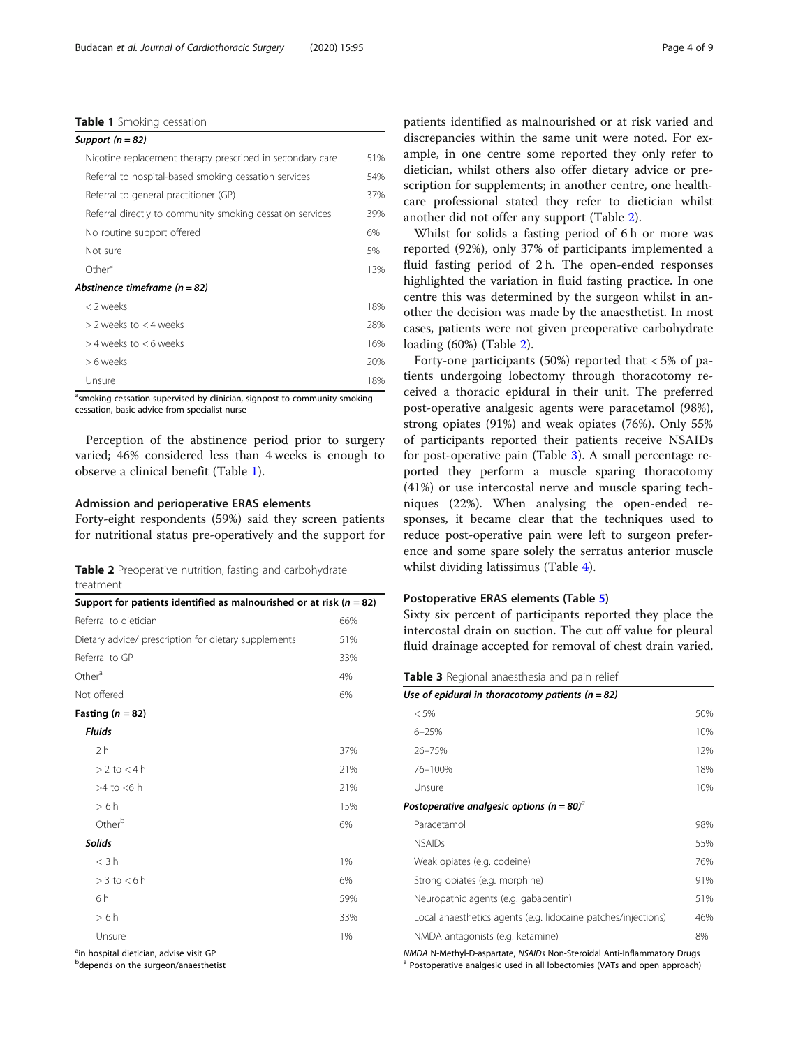#### Table 1 Smoking cessation

| Support (n = 82)                                          |     |
|-----------------------------------------------------------|-----|
| Nicotine replacement therapy prescribed in secondary care | 51% |
| Referral to hospital-based smoking cessation services     | 54% |
| Referral to general practitioner (GP)                     | 37% |
| Referral directly to community smoking cessation services | 39% |
| No routine support offered                                | 6%  |
| Not sure                                                  | 5%  |
| Other <sup>a</sup>                                        | 13% |
| Abstinence timeframe (n = 82)                             |     |
| < 2 weeks                                                 | 18% |
| $>$ 7 weeks to $<$ 4 weeks                                | 28% |
| $>$ 4 weeks to $<$ 6 weeks                                | 16% |
| > 6 weeks                                                 | 20% |
| Unsure                                                    | 18% |

asmoking cessation supervised by clinician, signpost to community smoking cessation, basic advice from specialist nurse

Perception of the abstinence period prior to surgery varied; 46% considered less than 4 weeks is enough to observe a clinical benefit (Table 1).

#### Admission and perioperative ERAS elements

Forty-eight respondents (59%) said they screen patients for nutritional status pre-operatively and the support for

Table 2 Preoperative nutrition, fasting and carbohydrate treatment

| Support for patients identified as malnourished or at risk ( $n = 82$ ) |     |
|-------------------------------------------------------------------------|-----|
| Referral to dietician                                                   | 66% |
| Dietary advice/ prescription for dietary supplements                    | 51% |
| Referral to GP                                                          | 33% |
| Other <sup>a</sup>                                                      | 4%  |
| Not offered                                                             | 6%  |
| Fasting ( $n = 82$ )                                                    |     |
| <b>Fluids</b>                                                           |     |
| 2 <sub>h</sub>                                                          | 37% |
| $> 2$ to $< 4 h$                                                        | 21% |
| $>4$ to <6 h                                                            | 21% |
| >6h                                                                     | 15% |
| Other <sup>b</sup>                                                      | 6%  |
| Solids                                                                  |     |
| $<$ 3 h                                                                 | 1%  |
| $> 3$ to $< 6$ h                                                        | 6%  |
| 6h                                                                      | 59% |
| >6h                                                                     | 33% |
| Unsure                                                                  | 1%  |

<sup>a</sup>in hospital dietician, advise visit GP

bdepends on the surgeon/anaesthetist

patients identified as malnourished or at risk varied and discrepancies within the same unit were noted. For example, in one centre some reported they only refer to dietician, whilst others also offer dietary advice or prescription for supplements; in another centre, one healthcare professional stated they refer to dietician whilst another did not offer any support (Table 2).

Whilst for solids a fasting period of 6 h or more was reported (92%), only 37% of participants implemented a fluid fasting period of 2 h. The open-ended responses highlighted the variation in fluid fasting practice. In one centre this was determined by the surgeon whilst in another the decision was made by the anaesthetist. In most cases, patients were not given preoperative carbohydrate loading (60%) (Table 2).

Forty-one participants (50%) reported that  $<$  5% of patients undergoing lobectomy through thoracotomy received a thoracic epidural in their unit. The preferred post-operative analgesic agents were paracetamol (98%), strong opiates (91%) and weak opiates (76%). Only 55% of participants reported their patients receive NSAIDs for post-operative pain (Table 3). A small percentage reported they perform a muscle sparing thoracotomy (41%) or use intercostal nerve and muscle sparing techniques (22%). When analysing the open-ended responses, it became clear that the techniques used to reduce post-operative pain were left to surgeon preference and some spare solely the serratus anterior muscle whilst dividing latissimus (Table [4\)](#page-4-0).

# Postoperative ERAS elements (Table [5](#page-4-0))

Sixty six percent of participants reported they place the intercostal drain on suction. The cut off value for pleural fluid drainage accepted for removal of chest drain varied.

|  |  | Table 3 Regional anaesthesia and pain relief |  |  |  |
|--|--|----------------------------------------------|--|--|--|
|--|--|----------------------------------------------|--|--|--|

| Use of epidural in thoracotomy patients ( $n = 82$ )                    |     |
|-------------------------------------------------------------------------|-----|
| $< 5\%$                                                                 | 50% |
| $6 - 25%$                                                               | 10% |
| 26-75%                                                                  | 12% |
| 76-100%                                                                 | 18% |
| Unsure                                                                  | 10% |
| Postoperative analgesic options (n = 80) <sup><math>\alpha</math></sup> |     |
| Paracetamol                                                             | 98% |
| <b>NSAIDs</b>                                                           | 55% |
| Weak opiates (e.g. codeine)                                             | 76% |
| Strong opiates (e.g. morphine)                                          | 91% |
| Neuropathic agents (e.g. gabapentin)                                    | 51% |
| Local anaesthetics agents (e.g. lidocaine patches/injections)           | 46% |
| NMDA antagonists (e.g. ketamine)                                        | 8%  |

NMDA N-Methyl-D-aspartate, NSAIDs Non-Steroidal Anti-Inflammatory Drugs a Postoperative analgesic used in all lobectomies (VATs and open approach)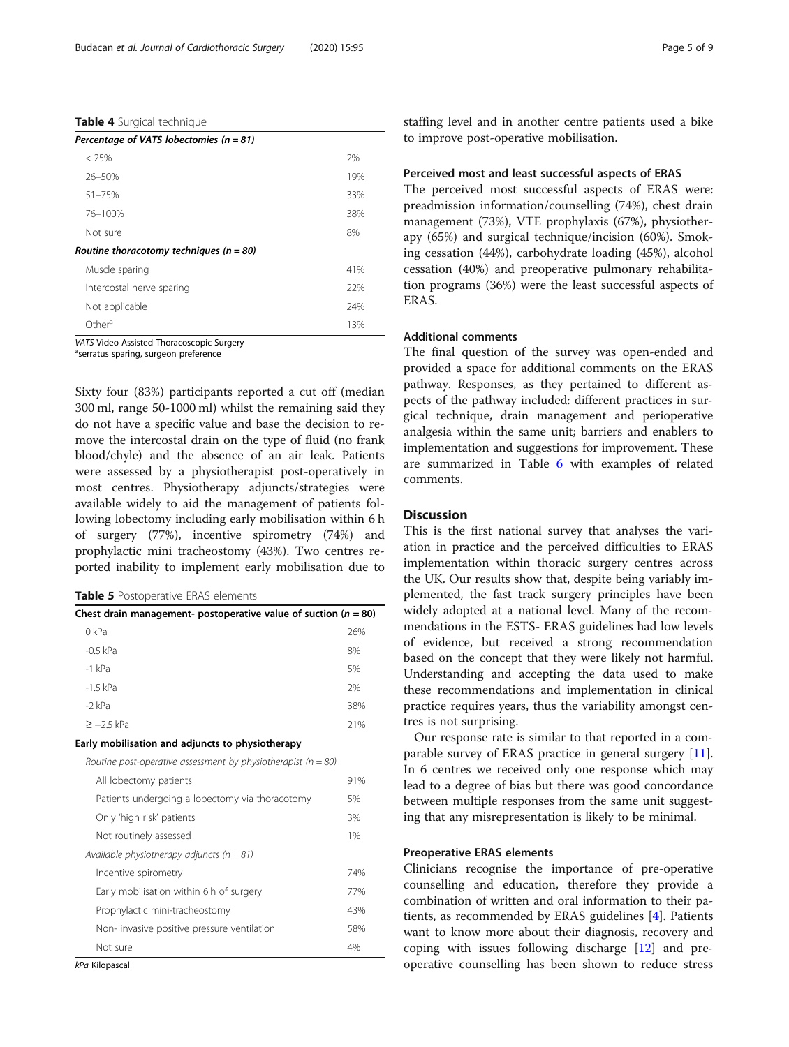## <span id="page-4-0"></span>Table 4 Surgical technique

| Percentage of VATS lobectomies ( $n = 81$ ) |     |
|---------------------------------------------|-----|
| $< 25\%$                                    | 2%  |
| 26-50%                                      | 19% |
| $51 - 75%$                                  | 33% |
| 76-100%                                     | 38% |
| Not sure                                    | 8%  |
| Routine thoracotomy techniques ( $n = 80$ ) |     |
| Muscle sparing                              | 41% |
| Intercostal nerve sparing                   | 22% |
| Not applicable                              | 24% |
| Other <sup>a</sup>                          | 13% |

VATS Video-Assisted Thoracoscopic Surgery

<sup>a</sup>serratus sparing, surgeon preference

Sixty four (83%) participants reported a cut off (median 300 ml, range 50-1000 ml) whilst the remaining said they do not have a specific value and base the decision to remove the intercostal drain on the type of fluid (no frank blood/chyle) and the absence of an air leak. Patients were assessed by a physiotherapist post-operatively in most centres. Physiotherapy adjuncts/strategies were available widely to aid the management of patients following lobectomy including early mobilisation within 6 h of surgery (77%), incentive spirometry (74%) and prophylactic mini tracheostomy (43%). Two centres reported inability to implement early mobilisation due to

|  | Table 5 Postoperative ERAS elements |  |  |
|--|-------------------------------------|--|--|
|--|-------------------------------------|--|--|

| <b>ANIC 3</b> TOSCOPCION VC LIVIS CICITIONS                         |     |
|---------------------------------------------------------------------|-----|
| Chest drain management- postoperative value of suction ( $n = 80$ ) |     |
| 0 kPa                                                               | 26% |
| $-0.5$ kPa                                                          | 8%  |
| $-1$ kPa                                                            | 5%  |
| $-1.5$ kPa                                                          | 7%  |
| $-2$ kPa                                                            | 38% |
| $\ge$ -2.5 kPa                                                      | 21% |
| Early mobilisation and adjuncts to physiotherapy                    |     |
| Routine post-operative assessment by physiotherapist ( $n = 80$ )   |     |
| All lobectomy patients                                              | 91% |
| Patients undergoing a lobectomy via thoracotomy                     | 5%  |
| Only 'high risk' patients                                           | 3%  |
| Not routinely assessed                                              | 1%  |
| Available physiotherapy adjuncts ( $n = 81$ )                       |     |
| Incentive spirometry                                                | 74% |
| Early mobilisation within 6 h of surgery                            | 77% |
| Prophylactic mini-tracheostomy                                      | 43% |
| Non- invasive positive pressure ventilation                         | 58% |
| Not sure                                                            | 4%  |
| <b>LDa Vilopaccal</b>                                               |     |

staffing level and in another centre patients used a bike to improve post-operative mobilisation.

#### Perceived most and least successful aspects of ERAS

The perceived most successful aspects of ERAS were: preadmission information/counselling (74%), chest drain management (73%), VTE prophylaxis (67%), physiotherapy (65%) and surgical technique/incision (60%). Smoking cessation (44%), carbohydrate loading (45%), alcohol cessation (40%) and preoperative pulmonary rehabilitation programs (36%) were the least successful aspects of ERAS.

# Additional comments

The final question of the survey was open-ended and provided a space for additional comments on the ERAS pathway. Responses, as they pertained to different aspects of the pathway included: different practices in surgical technique, drain management and perioperative analgesia within the same unit; barriers and enablers to implementation and suggestions for improvement. These are summarized in Table [6](#page-5-0) with examples of related comments.

# Discussion

This is the first national survey that analyses the variation in practice and the perceived difficulties to ERAS implementation within thoracic surgery centres across the UK. Our results show that, despite being variably implemented, the fast track surgery principles have been widely adopted at a national level. Many of the recommendations in the ESTS- ERAS guidelines had low levels of evidence, but received a strong recommendation based on the concept that they were likely not harmful. Understanding and accepting the data used to make these recommendations and implementation in clinical practice requires years, thus the variability amongst centres is not surprising.

Our response rate is similar to that reported in a comparable survey of ERAS practice in general surgery [\[11](#page-7-0)]. In 6 centres we received only one response which may lead to a degree of bias but there was good concordance between multiple responses from the same unit suggesting that any misrepresentation is likely to be minimal.

## Preoperative ERAS elements

Clinicians recognise the importance of pre-operative counselling and education, therefore they provide a combination of written and oral information to their patients, as recommended by ERAS guidelines [[4\]](#page-7-0). Patients want to know more about their diagnosis, recovery and coping with issues following discharge [\[12\]](#page-7-0) and preoperative counselling has been shown to reduce stress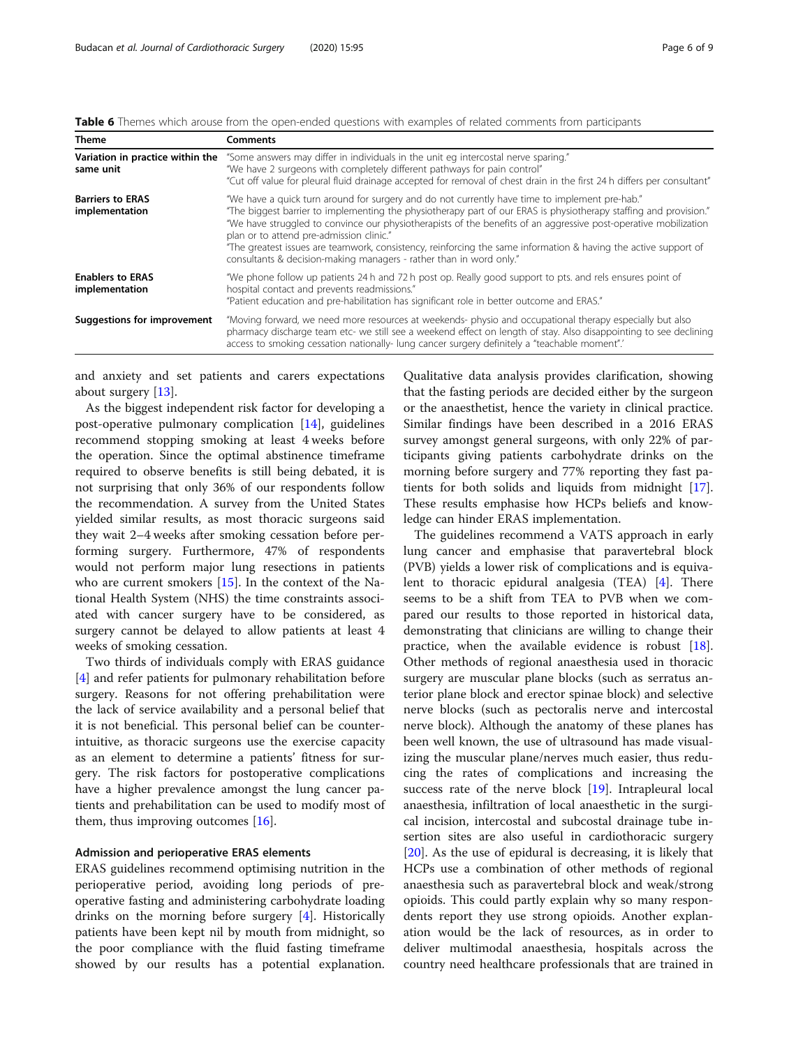<span id="page-5-0"></span>Table 6 Themes which arouse from the open-ended questions with examples of related comments from participants

| <b>Theme</b>                                  | Comments                                                                                                                                                                                                                                                                                                                                                                                                                                                                                                                                                                      |
|-----------------------------------------------|-------------------------------------------------------------------------------------------------------------------------------------------------------------------------------------------------------------------------------------------------------------------------------------------------------------------------------------------------------------------------------------------------------------------------------------------------------------------------------------------------------------------------------------------------------------------------------|
| Variation in practice within the<br>same unit | "Some answers may differ in individuals in the unit eq intercostal nerve sparing."<br>"We have 2 surgeons with completely different pathways for pain control"<br>"Cut off value for pleural fluid drainage accepted for removal of chest drain in the first 24 h differs per consultant"                                                                                                                                                                                                                                                                                     |
| <b>Barriers to ERAS</b><br>implementation     | "We have a quick turn around for surgery and do not currently have time to implement pre-hab."<br>"The biggest barrier to implementing the physiotherapy part of our ERAS is physiotherapy staffing and provision."<br>"We have struggled to convince our physiotherapists of the benefits of an aggressive post-operative mobilization<br>plan or to attend pre-admission clinic."<br>"The greatest issues are teamwork, consistency, reinforcing the same information & having the active support of<br>consultants & decision-making managers - rather than in word only." |
| <b>Enablers to ERAS</b><br>implementation     | "We phone follow up patients 24 h and 72 h post op. Really good support to pts, and rels ensures point of<br>hospital contact and prevents readmissions."<br>"Patient education and pre-habilitation has significant role in better outcome and ERAS."                                                                                                                                                                                                                                                                                                                        |
| <b>Suggestions for improvement</b>            | "Moving forward, we need more resources at weekends- physio and occupational therapy especially but also<br>pharmacy discharge team etc- we still see a weekend effect on length of stay. Also disappointing to see declining<br>access to smoking cessation nationally- lung cancer surgery definitely a "teachable moment".                                                                                                                                                                                                                                                 |

and anxiety and set patients and carers expectations about surgery [[13\]](#page-7-0).

As the biggest independent risk factor for developing a post-operative pulmonary complication [[14\]](#page-7-0), guidelines recommend stopping smoking at least 4 weeks before the operation. Since the optimal abstinence timeframe required to observe benefits is still being debated, it is not surprising that only 36% of our respondents follow the recommendation. A survey from the United States yielded similar results, as most thoracic surgeons said they wait 2–4 weeks after smoking cessation before performing surgery. Furthermore, 47% of respondents would not perform major lung resections in patients who are current smokers [[15\]](#page-7-0). In the context of the National Health System (NHS) the time constraints associated with cancer surgery have to be considered, as surgery cannot be delayed to allow patients at least 4 weeks of smoking cessation.

Two thirds of individuals comply with ERAS guidance [[4\]](#page-7-0) and refer patients for pulmonary rehabilitation before surgery. Reasons for not offering prehabilitation were the lack of service availability and a personal belief that it is not beneficial. This personal belief can be counterintuitive, as thoracic surgeons use the exercise capacity as an element to determine a patients' fitness for surgery. The risk factors for postoperative complications have a higher prevalence amongst the lung cancer patients and prehabilitation can be used to modify most of them, thus improving outcomes [[16\]](#page-7-0).

## Admission and perioperative ERAS elements

ERAS guidelines recommend optimising nutrition in the perioperative period, avoiding long periods of preoperative fasting and administering carbohydrate loading drinks on the morning before surgery [[4\]](#page-7-0). Historically patients have been kept nil by mouth from midnight, so the poor compliance with the fluid fasting timeframe showed by our results has a potential explanation.

Qualitative data analysis provides clarification, showing that the fasting periods are decided either by the surgeon or the anaesthetist, hence the variety in clinical practice. Similar findings have been described in a 2016 ERAS survey amongst general surgeons, with only 22% of participants giving patients carbohydrate drinks on the morning before surgery and 77% reporting they fast patients for both solids and liquids from midnight [\[17](#page-7-0)]. These results emphasise how HCPs beliefs and knowledge can hinder ERAS implementation.

The guidelines recommend a VATS approach in early lung cancer and emphasise that paravertebral block (PVB) yields a lower risk of complications and is equivalent to thoracic epidural analgesia (TEA) [[4\]](#page-7-0). There seems to be a shift from TEA to PVB when we compared our results to those reported in historical data, demonstrating that clinicians are willing to change their practice, when the available evidence is robust [\[18](#page-7-0)]. Other methods of regional anaesthesia used in thoracic surgery are muscular plane blocks (such as serratus anterior plane block and erector spinae block) and selective nerve blocks (such as pectoralis nerve and intercostal nerve block). Although the anatomy of these planes has been well known, the use of ultrasound has made visualizing the muscular plane/nerves much easier, thus reducing the rates of complications and increasing the success rate of the nerve block [[19\]](#page-7-0). Intrapleural local anaesthesia, infiltration of local anaesthetic in the surgical incision, intercostal and subcostal drainage tube insertion sites are also useful in cardiothoracic surgery [[20\]](#page-7-0). As the use of epidural is decreasing, it is likely that HCPs use a combination of other methods of regional anaesthesia such as paravertebral block and weak/strong opioids. This could partly explain why so many respondents report they use strong opioids. Another explanation would be the lack of resources, as in order to deliver multimodal anaesthesia, hospitals across the country need healthcare professionals that are trained in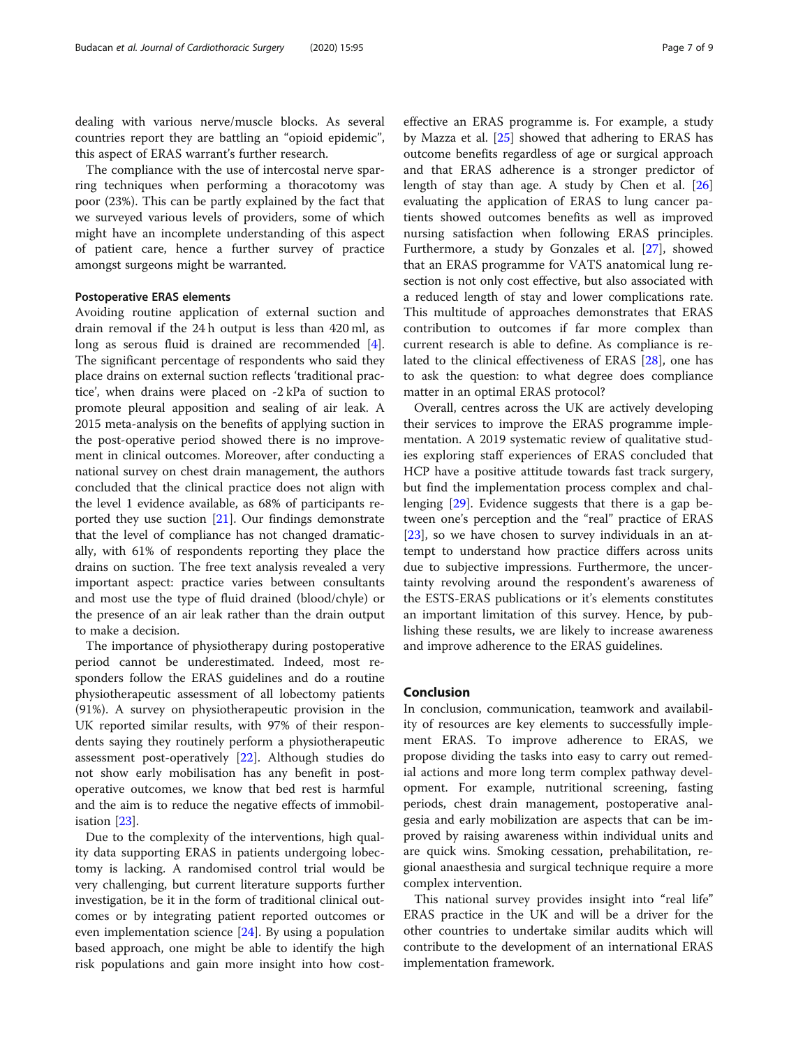dealing with various nerve/muscle blocks. As several countries report they are battling an "opioid epidemic", this aspect of ERAS warrant's further research.

The compliance with the use of intercostal nerve sparring techniques when performing a thoracotomy was poor (23%). This can be partly explained by the fact that we surveyed various levels of providers, some of which might have an incomplete understanding of this aspect of patient care, hence a further survey of practice amongst surgeons might be warranted.

#### Postoperative ERAS elements

Avoiding routine application of external suction and drain removal if the 24 h output is less than 420 ml, as long as serous fluid is drained are recommended [\[4](#page-7-0)]. The significant percentage of respondents who said they place drains on external suction reflects 'traditional practice', when drains were placed on -2 kPa of suction to promote pleural apposition and sealing of air leak. A 2015 meta-analysis on the benefits of applying suction in the post-operative period showed there is no improvement in clinical outcomes. Moreover, after conducting a national survey on chest drain management, the authors concluded that the clinical practice does not align with the level 1 evidence available, as 68% of participants reported they use suction [\[21](#page-7-0)]. Our findings demonstrate that the level of compliance has not changed dramatically, with 61% of respondents reporting they place the drains on suction. The free text analysis revealed a very important aspect: practice varies between consultants and most use the type of fluid drained (blood/chyle) or the presence of an air leak rather than the drain output to make a decision.

The importance of physiotherapy during postoperative period cannot be underestimated. Indeed, most responders follow the ERAS guidelines and do a routine physiotherapeutic assessment of all lobectomy patients (91%). A survey on physiotherapeutic provision in the UK reported similar results, with 97% of their respondents saying they routinely perform a physiotherapeutic assessment post-operatively [\[22](#page-7-0)]. Although studies do not show early mobilisation has any benefit in postoperative outcomes, we know that bed rest is harmful and the aim is to reduce the negative effects of immobilisation [[23\]](#page-7-0).

Due to the complexity of the interventions, high quality data supporting ERAS in patients undergoing lobectomy is lacking. A randomised control trial would be very challenging, but current literature supports further investigation, be it in the form of traditional clinical outcomes or by integrating patient reported outcomes or even implementation science [\[24](#page-8-0)]. By using a population based approach, one might be able to identify the high risk populations and gain more insight into how cost-

effective an ERAS programme is. For example, a study by Mazza et al. [\[25](#page-8-0)] showed that adhering to ERAS has outcome benefits regardless of age or surgical approach and that ERAS adherence is a stronger predictor of length of stay than age. A study by Chen et al. [[26](#page-8-0)] evaluating the application of ERAS to lung cancer patients showed outcomes benefits as well as improved nursing satisfaction when following ERAS principles. Furthermore, a study by Gonzales et al. [[27](#page-8-0)], showed that an ERAS programme for VATS anatomical lung resection is not only cost effective, but also associated with a reduced length of stay and lower complications rate. This multitude of approaches demonstrates that ERAS contribution to outcomes if far more complex than current research is able to define. As compliance is related to the clinical effectiveness of ERAS [\[28](#page-8-0)], one has to ask the question: to what degree does compliance matter in an optimal ERAS protocol?

Overall, centres across the UK are actively developing their services to improve the ERAS programme implementation. A 2019 systematic review of qualitative studies exploring staff experiences of ERAS concluded that HCP have a positive attitude towards fast track surgery, but find the implementation process complex and challenging [\[29](#page-8-0)]. Evidence suggests that there is a gap between one's perception and the "real" practice of ERAS [[23\]](#page-7-0), so we have chosen to survey individuals in an attempt to understand how practice differs across units due to subjective impressions. Furthermore, the uncertainty revolving around the respondent's awareness of the ESTS-ERAS publications or it's elements constitutes an important limitation of this survey. Hence, by publishing these results, we are likely to increase awareness and improve adherence to the ERAS guidelines.

## Conclusion

In conclusion, communication, teamwork and availability of resources are key elements to successfully implement ERAS. To improve adherence to ERAS, we propose dividing the tasks into easy to carry out remedial actions and more long term complex pathway development. For example, nutritional screening, fasting periods, chest drain management, postoperative analgesia and early mobilization are aspects that can be improved by raising awareness within individual units and are quick wins. Smoking cessation, prehabilitation, regional anaesthesia and surgical technique require a more complex intervention.

This national survey provides insight into "real life" ERAS practice in the UK and will be a driver for the other countries to undertake similar audits which will contribute to the development of an international ERAS implementation framework.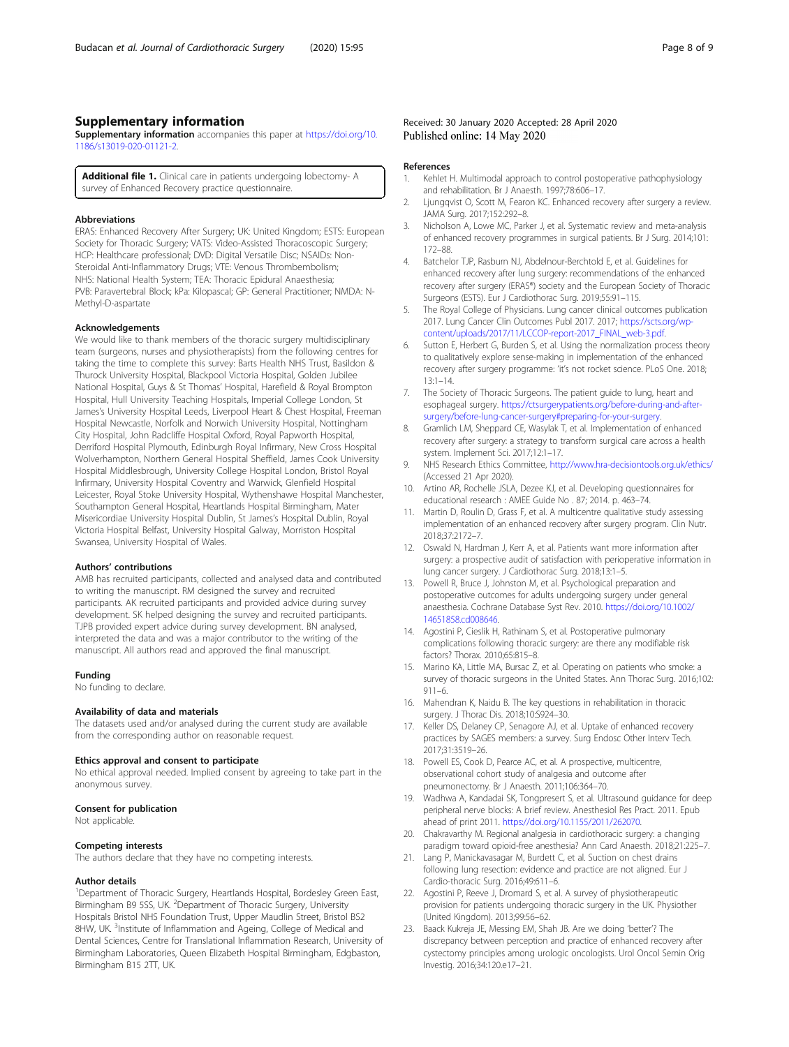# <span id="page-7-0"></span>Supplementary information

Supplementary information accompanies this paper at [https://doi.org/10.](https://doi.org/10.1186/s13019-020-01121-2) [1186/s13019-020-01121-2](https://doi.org/10.1186/s13019-020-01121-2).

Additional file 1. Clinical care in patients undergoing lobectomy- A survey of Enhanced Recovery practice questionnaire.

#### Abbreviations

ERAS: Enhanced Recovery After Surgery; UK: United Kingdom; ESTS: European Society for Thoracic Surgery; VATS: Video-Assisted Thoracoscopic Surgery; HCP: Healthcare professional; DVD: Digital Versatile Disc; NSAIDs: Non-Steroidal Anti-Inflammatory Drugs; VTE: Venous Thrombembolism; NHS: National Health System; TEA: Thoracic Epidural Anaesthesia; PVB: Paravertebral Block; kPa: Kilopascal; GP: General Practitioner; NMDA: N-Methyl-D-aspartate

#### Acknowledgements

We would like to thank members of the thoracic surgery multidisciplinary team (surgeons, nurses and physiotherapists) from the following centres for taking the time to complete this survey: Barts Health NHS Trust, Basildon & Thurock University Hospital, Blackpool Victoria Hospital, Golden Jubilee National Hospital, Guys & St Thomas' Hospital, Harefield & Royal Brompton Hospital, Hull University Teaching Hospitals, Imperial College London, St James's University Hospital Leeds, Liverpool Heart & Chest Hospital, Freeman Hospital Newcastle, Norfolk and Norwich University Hospital, Nottingham City Hospital, John Radcliffe Hospital Oxford, Royal Papworth Hospital, Derriford Hospital Plymouth, Edinburgh Royal Infirmary, New Cross Hospital Wolverhampton, Northern General Hospital Sheffield, James Cook University Hospital Middlesbrough, University College Hospital London, Bristol Royal Infirmary, University Hospital Coventry and Warwick, Glenfield Hospital Leicester, Royal Stoke University Hospital, Wythenshawe Hospital Manchester, Southampton General Hospital, Heartlands Hospital Birmingham, Mater Misericordiae University Hospital Dublin, St James's Hospital Dublin, Royal Victoria Hospital Belfast, University Hospital Galway, Morriston Hospital Swansea, University Hospital of Wales.

#### Authors' contributions

AMB has recruited participants, collected and analysed data and contributed to writing the manuscript. RM designed the survey and recruited participants. AK recruited participants and provided advice during survey development. SK helped designing the survey and recruited participants. TJPB provided expert advice during survey development. BN analysed, interpreted the data and was a major contributor to the writing of the manuscript. All authors read and approved the final manuscript.

#### Funding

No funding to declare.

#### Availability of data and materials

The datasets used and/or analysed during the current study are available from the corresponding author on reasonable request.

#### Ethics approval and consent to participate

No ethical approval needed. Implied consent by agreeing to take part in the anonymous survey.

#### Consent for publication

Not applicable.

#### Competing interests

The authors declare that they have no competing interests.

#### Author details

<sup>1</sup>Department of Thoracic Surgery, Heartlands Hospital, Bordesley Green East, Birmingham B9 5SS, UK. <sup>2</sup>Department of Thoracic Surgery, University Hospitals Bristol NHS Foundation Trust, Upper Maudlin Street, Bristol BS2 8HW, UK. <sup>3</sup>Institute of Inflammation and Ageing, College of Medical and Dental Sciences, Centre for Translational Inflammation Research, University of Birmingham Laboratories, Queen Elizabeth Hospital Birmingham, Edgbaston, Birmingham B15 2TT, UK.

#### References

- 1. Kehlet H. Multimodal approach to control postoperative pathophysiology and rehabilitation. Br J Anaesth. 1997;78:606–17.
- 2. Ljungqvist O, Scott M, Fearon KC. Enhanced recovery after surgery a review. JAMA Surg. 2017;152:292–8.
- 3. Nicholson A, Lowe MC, Parker J, et al. Systematic review and meta-analysis of enhanced recovery programmes in surgical patients. Br J Surg. 2014;101: 172–88.
- 4. Batchelor TJP, Rasburn NJ, Abdelnour-Berchtold E, et al. Guidelines for enhanced recovery after lung surgery: recommendations of the enhanced recovery after surgery (ERAS®) society and the European Society of Thoracic Surgeons (ESTS). Eur J Cardiothorac Surg. 2019;55:91–115.
- 5. The Royal College of Physicians. Lung cancer clinical outcomes publication 2017. Lung Cancer Clin Outcomes Publ 2017. 2017; [https://scts.org/wp](https://scts.org/wp-content/uploads/2017/11/LCCOP-report-2017_FINAL_web-3.pdf)[content/uploads/2017/11/LCCOP-report-2017\\_FINAL\\_web-3.pdf.](https://scts.org/wp-content/uploads/2017/11/LCCOP-report-2017_FINAL_web-3.pdf)
- 6. Sutton E, Herbert G, Burden S, et al. Using the normalization process theory to qualitatively explore sense-making in implementation of the enhanced recovery after surgery programme: 'it's not rocket science. PLoS One. 2018;  $13:1-14$
- 7. The Society of Thoracic Surgeons. The patient guide to lung, heart and esophageal surgery. [https://ctsurgerypatients.org/before-during-and-after](https://ctsurgerypatients.org/before-during-and-after-surgery/before-lung-cancer-surgery#preparing-for-your-surgery)[surgery/before-lung-cancer-surgery#preparing-for-your-surgery](https://ctsurgerypatients.org/before-during-and-after-surgery/before-lung-cancer-surgery#preparing-for-your-surgery).
- 8. Gramlich LM, Sheppard CE, Wasylak T, et al. Implementation of enhanced recovery after surgery: a strategy to transform surgical care across a health system. Implement Sci. 2017;12:1–17.
- 9. NHS Research Ethics Committee, <http://www.hra-decisiontools.org.uk/ethics/> (Accessed 21 Apr 2020).
- 10. Artino AR, Rochelle JSLA, Dezee KJ, et al. Developing questionnaires for educational research : AMEE Guide No . 87; 2014. p. 463–74.
- 11. Martin D, Roulin D, Grass F, et al. A multicentre qualitative study assessing implementation of an enhanced recovery after surgery program. Clin Nutr. 2018;37:2172–7.
- 12. Oswald N, Hardman J, Kerr A, et al. Patients want more information after surgery: a prospective audit of satisfaction with perioperative information in lung cancer surgery. J Cardiothorac Surg. 2018;13:1–5.
- 13. Powell R, Bruce J, Johnston M, et al. Psychological preparation and postoperative outcomes for adults undergoing surgery under general anaesthesia. Cochrane Database Syst Rev. 2010. [https://doi.org/10.1002/](https://doi.org/10.1002/14651858.cd008646) [14651858.cd008646.](https://doi.org/10.1002/14651858.cd008646)
- 14. Agostini P, Cieslik H, Rathinam S, et al. Postoperative pulmonary complications following thoracic surgery: are there any modifiable risk factors? Thorax. 2010;65:815–8.
- 15. Marino KA, Little MA, Bursac Z, et al. Operating on patients who smoke: a survey of thoracic surgeons in the United States. Ann Thorac Surg. 2016;102: 911–6.
- 16. Mahendran K, Naidu B. The key questions in rehabilitation in thoracic surgery. J Thorac Dis. 2018;10:S924–30.
- 17. Keller DS, Delaney CP, Senagore AJ, et al. Uptake of enhanced recovery practices by SAGES members: a survey. Surg Endosc Other Interv Tech. 2017;31:3519–26.
- 18. Powell ES, Cook D, Pearce AC, et al. A prospective, multicentre, observational cohort study of analgesia and outcome after pneumonectomy. Br J Anaesth. 2011;106:364–70.
- 19. Wadhwa A, Kandadai SK, Tongpresert S, et al. Ultrasound guidance for deep peripheral nerve blocks: A brief review. Anesthesiol Res Pract. 2011. Epub ahead of print 2011. <https://doi.org/10.1155/2011/262070>.
- 20. Chakravarthy M. Regional analgesia in cardiothoracic surgery: a changing paradigm toward opioid-free anesthesia? Ann Card Anaesth. 2018;21:225–7.
- 21. Lang P, Manickavasagar M, Burdett C, et al. Suction on chest drains following lung resection: evidence and practice are not aligned. Eur J Cardio-thoracic Surg. 2016;49:611–6.
- 22. Agostini P, Reeve J, Dromard S, et al. A survey of physiotherapeutic provision for patients undergoing thoracic surgery in the UK. Physiother (United Kingdom). 2013;99:56–62.
- 23. Baack Kukreja JE, Messing EM, Shah JB. Are we doing 'better'? The discrepancy between perception and practice of enhanced recovery after cystectomy principles among urologic oncologists. Urol Oncol Semin Orig Investig. 2016;34:120.e17–21.